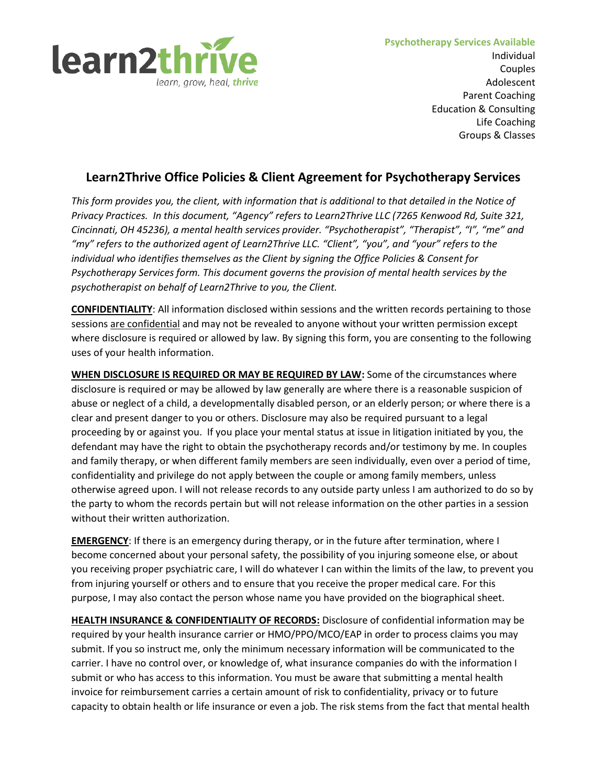

# **Learn2Thrive Office Policies & Client Agreement for Psychotherapy Services**

*This form provides you, the client, with information that is additional to that detailed in the Notice of Privacy Practices. In this document, "Agency" refers to Learn2Thrive LLC (7265 Kenwood Rd, Suite 321, Cincinnati, OH 45236), a mental health services provider. "Psychotherapist", "Therapist", "I", "me" and "my" refers to the authorized agent of Learn2Thrive LLC. "Client", "you", and "your" refers to the individual who identifies themselves as the Client by signing the Office Policies & Consent for Psychotherapy Services form. This document governs the provision of mental health services by the psychotherapist on behalf of Learn2Thrive to you, the Client.*

**CONFIDENTIALITY**: All information disclosed within sessions and the written records pertaining to those sessions are confidential and may not be revealed to anyone without your written permission except where disclosure is required or allowed by law. By signing this form, you are consenting to the following uses of your health information.

**WHEN DISCLOSURE IS REQUIRED OR MAY BE REQUIRED BY LAW:** Some of the circumstances where disclosure is required or may be allowed by law generally are where there is a reasonable suspicion of abuse or neglect of a child, a developmentally disabled person, or an elderly person; or where there is a clear and present danger to you or others. Disclosure may also be required pursuant to a legal proceeding by or against you. If you place your mental status at issue in litigation initiated by you, the defendant may have the right to obtain the psychotherapy records and/or testimony by me. In couples and family therapy, or when different family members are seen individually, even over a period of time, confidentiality and privilege do not apply between the couple or among family members, unless otherwise agreed upon. I will not release records to any outside party unless I am authorized to do so by the party to whom the records pertain but will not release information on the other parties in a session without their written authorization.

**EMERGENCY**: If there is an emergency during therapy, or in the future after termination, where I become concerned about your personal safety, the possibility of you injuring someone else, or about you receiving proper psychiatric care, I will do whatever I can within the limits of the law, to prevent you from injuring yourself or others and to ensure that you receive the proper medical care. For this purpose, I may also contact the person whose name you have provided on the biographical sheet.

**HEALTH INSURANCE & CONFIDENTIALITY OF RECORDS:** Disclosure of confidential information may be required by your health insurance carrier or HMO/PPO/MCO/EAP in order to process claims you may submit. If you so instruct me, only the minimum necessary information will be communicated to the carrier. I have no control over, or knowledge of, what insurance companies do with the information I submit or who has access to this information. You must be aware that submitting a mental health invoice for reimbursement carries a certain amount of risk to confidentiality, privacy or to future capacity to obtain health or life insurance or even a job. The risk stems from the fact that mental health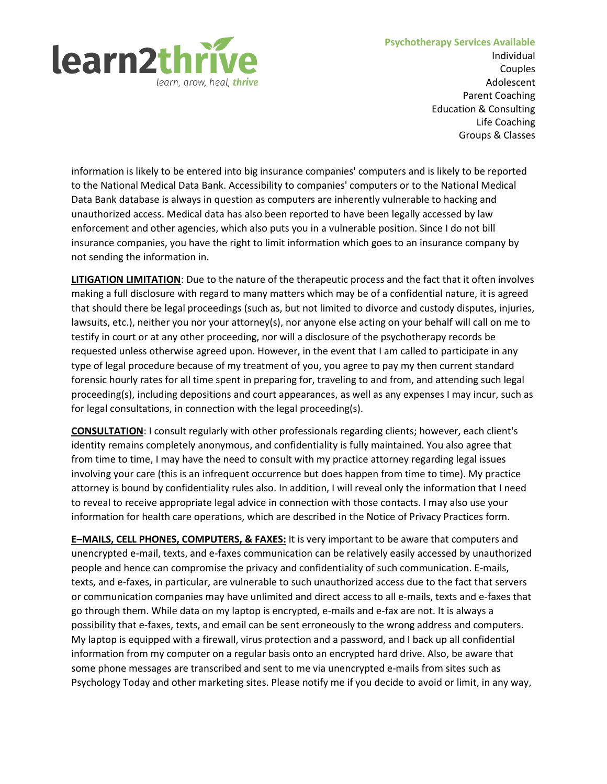

Individual Couples Adolescent Parent Coaching Education & Consulting Life Coaching Groups & Classes

information is likely to be entered into big insurance companies' computers and is likely to be reported to the National Medical Data Bank. Accessibility to companies' computers or to the National Medical Data Bank database is always in question as computers are inherently vulnerable to hacking and unauthorized access. Medical data has also been reported to have been legally accessed by law enforcement and other agencies, which also puts you in a vulnerable position. Since I do not bill insurance companies, you have the right to limit information which goes to an insurance company by not sending the information in.

**LITIGATION LIMITATION**: Due to the nature of the therapeutic process and the fact that it often involves making a full disclosure with regard to many matters which may be of a confidential nature, it is agreed that should there be legal proceedings (such as, but not limited to divorce and custody disputes, injuries, lawsuits, etc.), neither you nor your attorney(s), nor anyone else acting on your behalf will call on me to testify in court or at any other proceeding, nor will a disclosure of the psychotherapy records be requested unless otherwise agreed upon. However, in the event that I am called to participate in any type of legal procedure because of my treatment of you, you agree to pay my then current standard forensic hourly rates for all time spent in preparing for, traveling to and from, and attending such legal proceeding(s), including depositions and court appearances, as well as any expenses I may incur, such as for legal consultations, in connection with the legal proceeding(s).

**CONSULTATION**: I consult regularly with other professionals regarding clients; however, each client's identity remains completely anonymous, and confidentiality is fully maintained. You also agree that from time to time, I may have the need to consult with my practice attorney regarding legal issues involving your care (this is an infrequent occurrence but does happen from time to time). My practice attorney is bound by confidentiality rules also. In addition, I will reveal only the information that I need to reveal to receive appropriate legal advice in connection with those contacts. I may also use your information for health care operations, which are described in the Notice of Privacy Practices form.

**E–MAILS, CELL PHONES, COMPUTERS, & FAXES:** It is very important to be aware that computers and unencrypted e-mail, texts, and e-faxes communication can be relatively easily accessed by unauthorized people and hence can compromise the privacy and confidentiality of such communication. E-mails, texts, and e-faxes, in particular, are vulnerable to such unauthorized access due to the fact that servers or communication companies may have unlimited and direct access to all e-mails, texts and e-faxes that go through them. While data on my laptop is encrypted, e-mails and e-fax are not. It is always a possibility that e-faxes, texts, and email can be sent erroneously to the wrong address and computers. My laptop is equipped with a firewall, virus protection and a password, and I back up all confidential information from my computer on a regular basis onto an encrypted hard drive. Also, be aware that some phone messages are transcribed and sent to me via unencrypted e-mails from sites such as Psychology Today and other marketing sites. Please notify me if you decide to avoid or limit, in any way,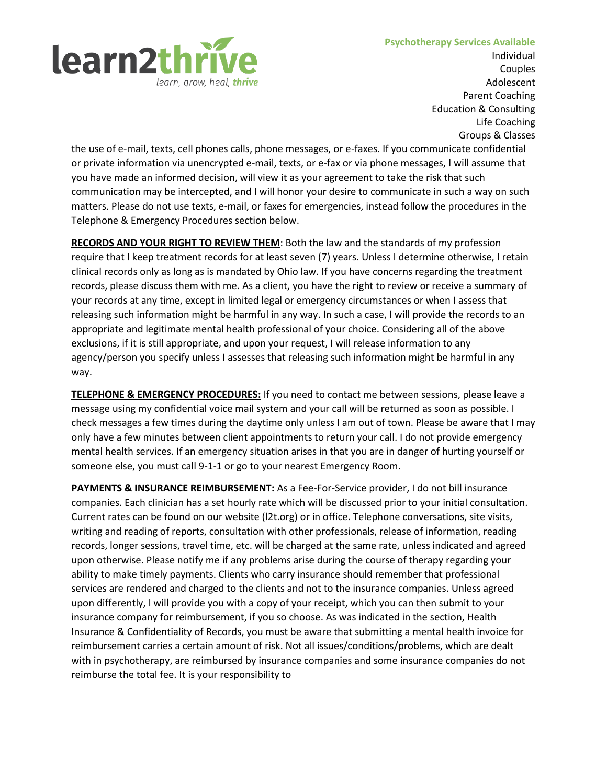

Individual Couples Adolescent Parent Coaching Education & Consulting Life Coaching Groups & Classes

the use of e-mail, texts, cell phones calls, phone messages, or e-faxes. If you communicate confidential or private information via unencrypted e-mail, texts, or e-fax or via phone messages, I will assume that you have made an informed decision, will view it as your agreement to take the risk that such communication may be intercepted, and I will honor your desire to communicate in such a way on such matters. Please do not use texts, e-mail, or faxes for emergencies, instead follow the procedures in the Telephone & Emergency Procedures section below.

**RECORDS AND YOUR RIGHT TO REVIEW THEM**: Both the law and the standards of my profession require that I keep treatment records for at least seven (7) years. Unless I determine otherwise, I retain clinical records only as long as is mandated by Ohio law. If you have concerns regarding the treatment records, please discuss them with me. As a client, you have the right to review or receive a summary of your records at any time, except in limited legal or emergency circumstances or when I assess that releasing such information might be harmful in any way. In such a case, I will provide the records to an appropriate and legitimate mental health professional of your choice. Considering all of the above exclusions, if it is still appropriate, and upon your request, I will release information to any agency/person you specify unless I assesses that releasing such information might be harmful in any way.

**TELEPHONE & EMERGENCY PROCEDURES:** If you need to contact me between sessions, please leave a message using my confidential voice mail system and your call will be returned as soon as possible. I check messages a few times during the daytime only unless I am out of town. Please be aware that I may only have a few minutes between client appointments to return your call. I do not provide emergency mental health services. If an emergency situation arises in that you are in danger of hurting yourself or someone else, you must call 9-1-1 or go to your nearest Emergency Room.

**PAYMENTS & INSURANCE REIMBURSEMENT:** As a Fee-For-Service provider, I do not bill insurance companies. Each clinician has a set hourly rate which will be discussed prior to your initial consultation. Current rates can be found on our website (l2t.org) or in office. Telephone conversations, site visits, writing and reading of reports, consultation with other professionals, release of information, reading records, longer sessions, travel time, etc. will be charged at the same rate, unless indicated and agreed upon otherwise. Please notify me if any problems arise during the course of therapy regarding your ability to make timely payments. Clients who carry insurance should remember that professional services are rendered and charged to the clients and not to the insurance companies. Unless agreed upon differently, I will provide you with a copy of your receipt, which you can then submit to your insurance company for reimbursement, if you so choose. As was indicated in the section, Health Insurance & Confidentiality of Records, you must be aware that submitting a mental health invoice for reimbursement carries a certain amount of risk. Not all issues/conditions/problems, which are dealt with in psychotherapy, are reimbursed by insurance companies and some insurance companies do not reimburse the total fee. It is your responsibility to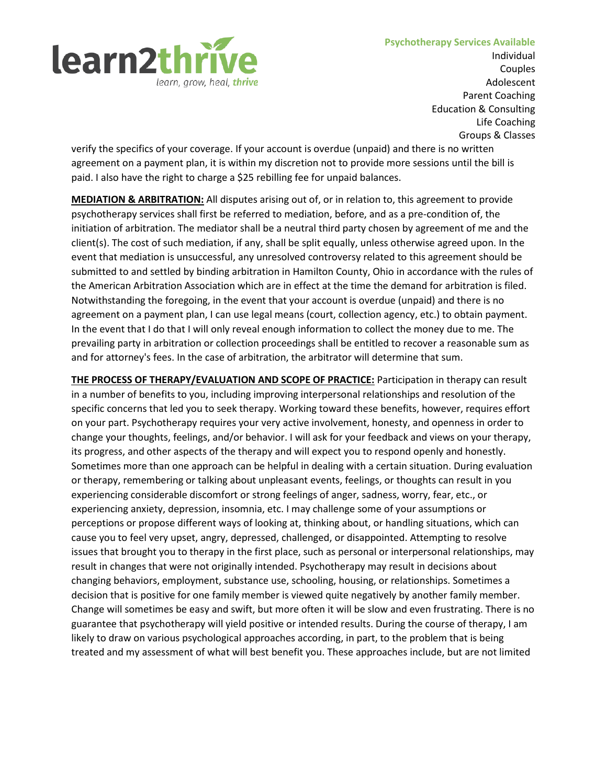

Individual Couples Adolescent Parent Coaching Education & Consulting Life Coaching Groups & Classes

verify the specifics of your coverage. If your account is overdue (unpaid) and there is no written agreement on a payment plan, it is within my discretion not to provide more sessions until the bill is paid. I also have the right to charge a \$25 rebilling fee for unpaid balances.

**MEDIATION & ARBITRATION:** All disputes arising out of, or in relation to, this agreement to provide psychotherapy services shall first be referred to mediation, before, and as a pre-condition of, the initiation of arbitration. The mediator shall be a neutral third party chosen by agreement of me and the client(s). The cost of such mediation, if any, shall be split equally, unless otherwise agreed upon. In the event that mediation is unsuccessful, any unresolved controversy related to this agreement should be submitted to and settled by binding arbitration in Hamilton County, Ohio in accordance with the rules of the American Arbitration Association which are in effect at the time the demand for arbitration is filed. Notwithstanding the foregoing, in the event that your account is overdue (unpaid) and there is no agreement on a payment plan, I can use legal means (court, collection agency, etc.) to obtain payment. In the event that I do that I will only reveal enough information to collect the money due to me. The prevailing party in arbitration or collection proceedings shall be entitled to recover a reasonable sum as and for attorney's fees. In the case of arbitration, the arbitrator will determine that sum.

**THE PROCESS OF THERAPY/EVALUATION AND SCOPE OF PRACTICE:** Participation in therapy can result in a number of benefits to you, including improving interpersonal relationships and resolution of the specific concerns that led you to seek therapy. Working toward these benefits, however, requires effort on your part. Psychotherapy requires your very active involvement, honesty, and openness in order to change your thoughts, feelings, and/or behavior. I will ask for your feedback and views on your therapy, its progress, and other aspects of the therapy and will expect you to respond openly and honestly. Sometimes more than one approach can be helpful in dealing with a certain situation. During evaluation or therapy, remembering or talking about unpleasant events, feelings, or thoughts can result in you experiencing considerable discomfort or strong feelings of anger, sadness, worry, fear, etc., or experiencing anxiety, depression, insomnia, etc. I may challenge some of your assumptions or perceptions or propose different ways of looking at, thinking about, or handling situations, which can cause you to feel very upset, angry, depressed, challenged, or disappointed. Attempting to resolve issues that brought you to therapy in the first place, such as personal or interpersonal relationships, may result in changes that were not originally intended. Psychotherapy may result in decisions about changing behaviors, employment, substance use, schooling, housing, or relationships. Sometimes a decision that is positive for one family member is viewed quite negatively by another family member. Change will sometimes be easy and swift, but more often it will be slow and even frustrating. There is no guarantee that psychotherapy will yield positive or intended results. During the course of therapy, I am likely to draw on various psychological approaches according, in part, to the problem that is being treated and my assessment of what will best benefit you. These approaches include, but are not limited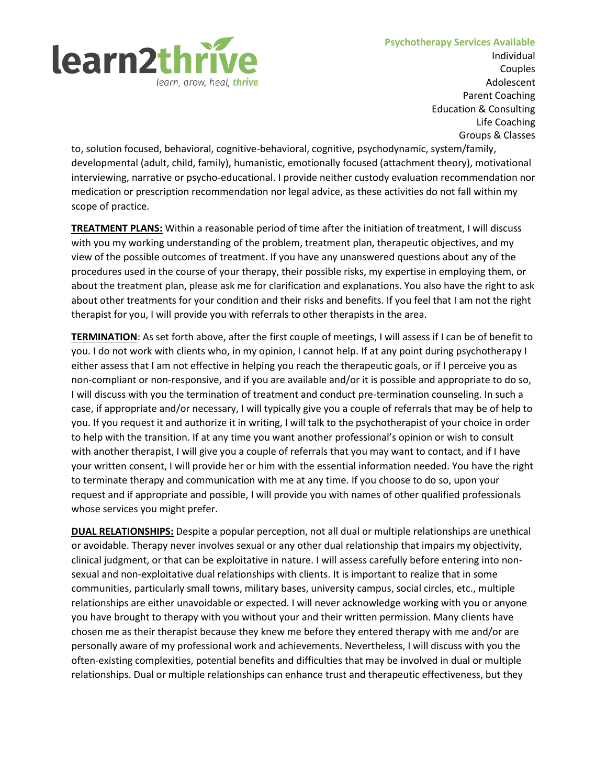

Individual Couples Adolescent Parent Coaching Education & Consulting Life Coaching Groups & Classes

to, solution focused, behavioral, cognitive-behavioral, cognitive, psychodynamic, system/family, developmental (adult, child, family), humanistic, emotionally focused (attachment theory), motivational interviewing, narrative or psycho-educational. I provide neither custody evaluation recommendation nor medication or prescription recommendation nor legal advice, as these activities do not fall within my scope of practice.

**TREATMENT PLANS:** Within a reasonable period of time after the initiation of treatment, I will discuss with you my working understanding of the problem, treatment plan, therapeutic objectives, and my view of the possible outcomes of treatment. If you have any unanswered questions about any of the procedures used in the course of your therapy, their possible risks, my expertise in employing them, or about the treatment plan, please ask me for clarification and explanations. You also have the right to ask about other treatments for your condition and their risks and benefits. If you feel that I am not the right therapist for you, I will provide you with referrals to other therapists in the area.

**TERMINATION**: As set forth above, after the first couple of meetings, I will assess if I can be of benefit to you. I do not work with clients who, in my opinion, I cannot help. If at any point during psychotherapy I either assess that I am not effective in helping you reach the therapeutic goals, or if I perceive you as non-compliant or non-responsive, and if you are available and/or it is possible and appropriate to do so, I will discuss with you the termination of treatment and conduct pre-termination counseling. In such a case, if appropriate and/or necessary, I will typically give you a couple of referrals that may be of help to you. If you request it and authorize it in writing, I will talk to the psychotherapist of your choice in order to help with the transition. If at any time you want another professional's opinion or wish to consult with another therapist, I will give you a couple of referrals that you may want to contact, and if I have your written consent, I will provide her or him with the essential information needed. You have the right to terminate therapy and communication with me at any time. If you choose to do so, upon your request and if appropriate and possible, I will provide you with names of other qualified professionals whose services you might prefer.

**DUAL RELATIONSHIPS:** Despite a popular perception, not all dual or multiple relationships are unethical or avoidable. Therapy never involves sexual or any other dual relationship that impairs my objectivity, clinical judgment, or that can be exploitative in nature. I will assess carefully before entering into nonsexual and non-exploitative dual relationships with clients. It is important to realize that in some communities, particularly small towns, military bases, university campus, social circles, etc., multiple relationships are either unavoidable or expected. I will never acknowledge working with you or anyone you have brought to therapy with you without your and their written permission. Many clients have chosen me as their therapist because they knew me before they entered therapy with me and/or are personally aware of my professional work and achievements. Nevertheless, I will discuss with you the often-existing complexities, potential benefits and difficulties that may be involved in dual or multiple relationships. Dual or multiple relationships can enhance trust and therapeutic effectiveness, but they